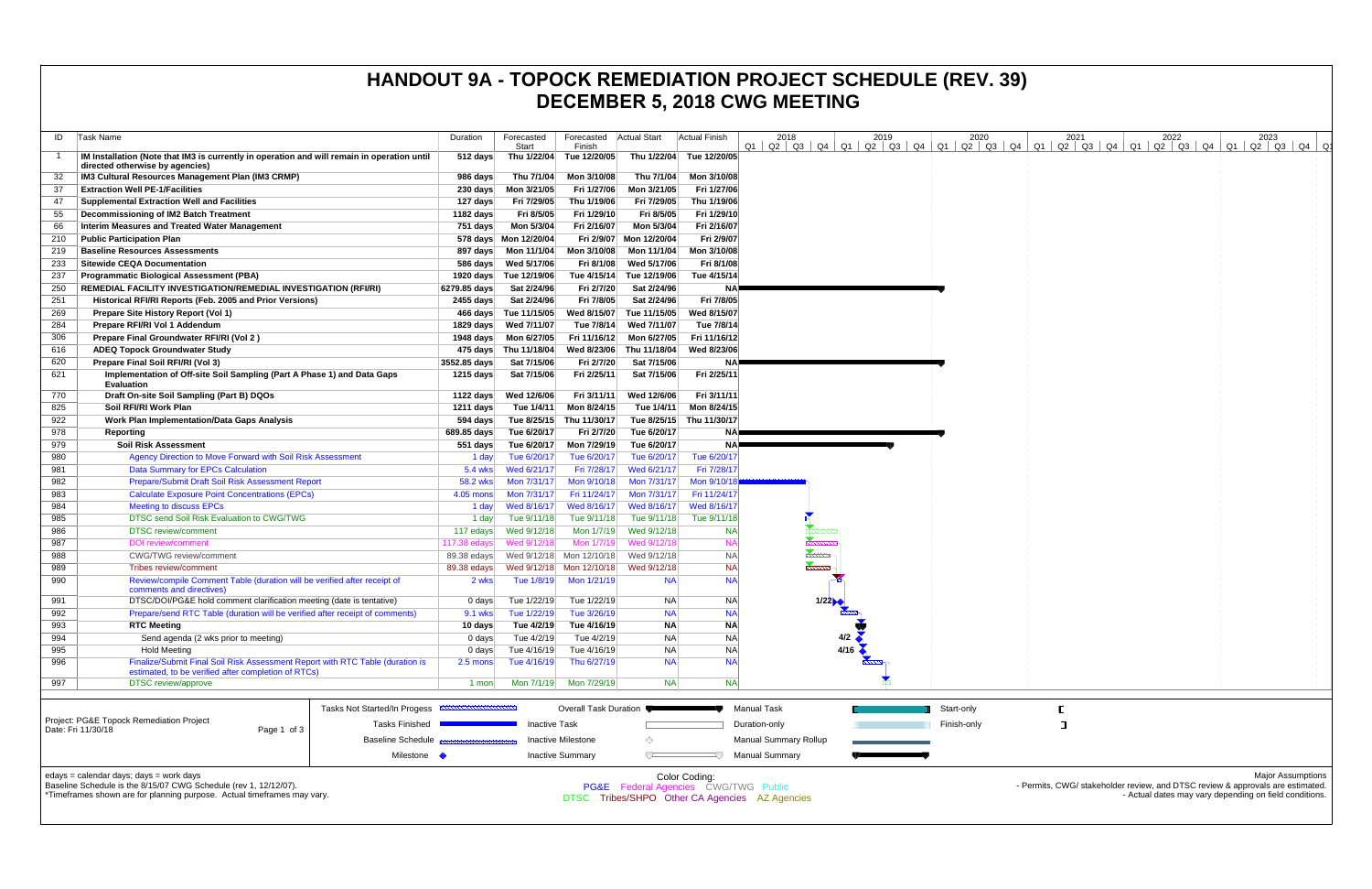| ID         | Task Name                                                                                                                            | Duration                  | Forecasted<br>Start        | Forecasted<br>Finish                                 | <b>Actual Start</b>        | <b>Actual Finish</b>                                             | 2018                                                  | 2019              | 2020        | 2021 | 2022 | 2023<br>$Q1$   $Q2$   $Q3$   $Q4$   $Q1$   $Q2$   $Q3$   $Q4$   $Q1$   $Q2$   $Q3$   $Q4$   $Q1$   $Q2$   $Q3$   $Q4$   $Q1$   $Q2$   $Q3$   $Q4$   $Q1$   $Q2$   $Q3$   $Q4$   $Q1$ |
|------------|--------------------------------------------------------------------------------------------------------------------------------------|---------------------------|----------------------------|------------------------------------------------------|----------------------------|------------------------------------------------------------------|-------------------------------------------------------|-------------------|-------------|------|------|--------------------------------------------------------------------------------------------------------------------------------------------------------------------------------------|
|            | IM Installation (Note that IM3 is currently in operation and will remain in operation until<br>directed otherwise by agencies)       | 512 days                  | Thu 1/22/04                | Tue 12/20/05                                         | Thu 1/22/04                | Tue 12/20/05                                                     |                                                       |                   |             |      |      |                                                                                                                                                                                      |
| 32         | IM3 Cultural Resources Management Plan (IM3 CRMP)                                                                                    | 986 days                  | Thu 7/1/04                 | Mon 3/10/08                                          | Thu 7/1/04                 | Mon 3/10/08                                                      |                                                       |                   |             |      |      |                                                                                                                                                                                      |
| -37        | <b>Extraction Well PE-1/Facilities</b>                                                                                               | $230 \text{ days}$        | Mon 3/21/05                | Fri 1/27/06                                          | Mon 3/21/05                | Fri 1/27/06                                                      |                                                       |                   |             |      |      |                                                                                                                                                                                      |
| 47         | <b>Supplemental Extraction Well and Facilities</b>                                                                                   | 127 days                  | Fri 7/29/05                | Thu 1/19/06                                          | Fri 7/29/05                | Thu 1/19/06                                                      |                                                       |                   |             |      |      |                                                                                                                                                                                      |
| 55         | Decommissioning of IM2 Batch Treatment                                                                                               | 1182 days                 | Fri 8/5/05                 | Fri 1/29/10                                          | Fri 8/5/05                 | Fri 1/29/10                                                      |                                                       |                   |             |      |      |                                                                                                                                                                                      |
| 66         | <b>Interim Measures and Treated Water Management</b>                                                                                 | 751 days                  | Mon 5/3/04                 | Fri 2/16/07                                          | Mon 5/3/04                 | Fri 2/16/07                                                      |                                                       |                   |             |      |      |                                                                                                                                                                                      |
| 210        | <b>Public Participation Plan</b>                                                                                                     |                           | 578 days  Mon 12/20/04     |                                                      | Fri 2/9/07 Mon 12/20/04    | Fri 2/9/07                                                       |                                                       |                   |             |      |      |                                                                                                                                                                                      |
| 219        | <b>Baseline Resources Assessments</b>                                                                                                |                           | 897 days    Mon 11/1/04    | Mon 3/10/08                                          | Mon 11/1/04                | Mon 3/10/08                                                      |                                                       |                   |             |      |      |                                                                                                                                                                                      |
| 233        | <b>Sitewide CEQA Documentation</b>                                                                                                   |                           |                            | Fri 8/1/08                                           | Wed 5/17/06                | Fri 8/1/08                                                       |                                                       |                   |             |      |      |                                                                                                                                                                                      |
| 237        | Programmatic Biological Assessment (PBA)                                                                                             |                           | 1920 days Tue 12/19/06     |                                                      | Tue 4/15/14 Tue 12/19/06   | Tue 4/15/14                                                      |                                                       |                   |             |      |      |                                                                                                                                                                                      |
| 250        | REMEDIAL FACILITY INVESTIGATION/REMEDIAL INVESTIGATION (RFI/RI)                                                                      | 6279.85 days              | Sat 2/24/96                | Fri 2/7/20                                           | Sat 2/24/96                | <b>NA</b>                                                        |                                                       |                   |             |      |      |                                                                                                                                                                                      |
| 251        | Historical RFI/RI Reports (Feb. 2005 and Prior Versions)                                                                             | 2455 days                 | Sat 2/24/96                | Fri 7/8/05                                           | Sat 2/24/96                | Fri 7/8/05                                                       |                                                       |                   |             |      |      |                                                                                                                                                                                      |
| 269        | Prepare Site History Report (Vol 1)                                                                                                  |                           | 466 days Tue 11/15/05      | Wed 8/15/07                                          | Tue 11/15/05               | Wed 8/15/07                                                      |                                                       |                   |             |      |      |                                                                                                                                                                                      |
| 284        | Prepare RFI/RI Vol 1 Addendum                                                                                                        |                           | 1829 days Wed 7/11/07      | Tue 7/8/14                                           | Wed 7/11/07                | Tue 7/8/14                                                       |                                                       |                   |             |      |      |                                                                                                                                                                                      |
| 306        | Prepare Final Groundwater RFI/RI (Vol 2)                                                                                             |                           | 1948 days    Mon 6/27/05   |                                                      | Fri 11/16/12 Mon 6/27/05   | Fri 11/16/12                                                     |                                                       |                   |             |      |      |                                                                                                                                                                                      |
| 616        | <b>ADEQ Topock Groundwater Study</b>                                                                                                 |                           | 475 days Thu 11/18/04      |                                                      | Wed 8/23/06 Thu 11/18/04   | Wed 8/23/06                                                      |                                                       |                   |             |      |      |                                                                                                                                                                                      |
| 620<br>621 | Prepare Final Soil RFI/RI (Vol 3)<br>Implementation of Off-site Soil Sampling (Part A Phase 1) and Data Gaps                         | 3552.85 days<br>1215 days | Sat 7/15/06<br>Sat 7/15/06 | Fri 2/7/20<br>Fri 2/25/11                            | Sat 7/15/06<br>Sat 7/15/06 | <b>NA</b><br>Fri 2/25/11                                         |                                                       |                   |             |      |      |                                                                                                                                                                                      |
|            | <b>Evaluation</b>                                                                                                                    |                           |                            |                                                      |                            |                                                                  |                                                       |                   |             |      |      |                                                                                                                                                                                      |
| 770        | Draft On-site Soil Sampling (Part B) DQOs                                                                                            | 1122 days                 | Wed 12/6/06                | Fri 3/11/11                                          | Wed 12/6/06                | Fri 3/11/11                                                      |                                                       |                   |             |      |      |                                                                                                                                                                                      |
| 825        | Soil RFI/RI Work Plan                                                                                                                | 1211 days                 | Tue 1/4/11                 | Mon 8/24/15                                          | Tue 1/4/11                 | Mon 8/24/15                                                      |                                                       |                   |             |      |      |                                                                                                                                                                                      |
| 922        | <b>Work Plan Implementation/Data Gaps Analysis</b>                                                                                   | 594 days                  | Tue 8/25/15                | Thu 11/30/17                                         |                            | Tue 8/25/15 Thu 11/30/17                                         |                                                       |                   |             |      |      |                                                                                                                                                                                      |
| 978        | Reporting                                                                                                                            | 689.85 days               | Tue 6/20/17                | Fri 2/7/20                                           | Tue 6/20/17                | NAI                                                              |                                                       |                   |             |      |      |                                                                                                                                                                                      |
| 979        | <b>Soil Risk Assessment</b><br>Agency Direction to Move Forward with Soil Risk Assessment                                            | 551 days                  | Tue 6/20/17                | Mon 7/29/19<br>Tue 6/20/17                           | Tue 6/20/17<br>Tue 6/20/17 | Tue 6/20/17                                                      |                                                       |                   |             |      |      |                                                                                                                                                                                      |
| 980<br>981 | <b>Data Summary for EPCs Calculation</b>                                                                                             | 1 day<br>5.4 wks          | Tue 6/20/17<br>Wed 6/21/17 | Fri 7/28/17                                          | Wed 6/21/17                | Fri 7/28/17                                                      |                                                       |                   |             |      |      |                                                                                                                                                                                      |
| 982        | Prepare/Submit Draft Soil Risk Assessment Report                                                                                     | 58.2 wks                  | Mon 7/31/17                | Mon 9/10/18                                          | Mon 7/31/17                | Mon 9/10/1                                                       |                                                       |                   |             |      |      |                                                                                                                                                                                      |
| 983        | <b>Calculate Exposure Point Concentrations (EPCs)</b>                                                                                | 4.05 mons                 | Mon 7/31/17                | Fri 11/24/17                                         | Mon 7/31/17                | Fri 11/24/17                                                     |                                                       |                   |             |      |      |                                                                                                                                                                                      |
| 984        | Meeting to discuss EPCs                                                                                                              | 1 day                     | Wed 8/16/17                | Wed 8/16/17                                          | Wed 8/16/17                | Wed 8/16/17                                                      |                                                       |                   |             |      |      |                                                                                                                                                                                      |
| 985        | DTSC send Soil Risk Evaluation to CWG/TWG                                                                                            | 1 day                     | Tue 9/11/18                | Tue 9/11/18                                          | Tue 9/11/18                | Tue 9/11/18                                                      |                                                       |                   |             |      |      |                                                                                                                                                                                      |
| 986        | <b>DTSC</b> review/comment                                                                                                           | 117 edays                 | Wed 9/12/18                | Mon 1/7/19                                           | Wed 9/12/18                | NA                                                               |                                                       |                   |             |      |      |                                                                                                                                                                                      |
| 987        | <b>DOI</b> review/comment                                                                                                            | 117.38 edays              | Wed 9/12/18                | Mon 1/7/19                                           | Wed 9/12/18                | <b>NA</b>                                                        |                                                       |                   |             |      |      |                                                                                                                                                                                      |
| 988        | CWG/TWG review/commen                                                                                                                | 89.38 edays               | Wed 9/12/18                | Mon 12/10/18                                         | Wed 9/12/18                | <b>NA</b>                                                        | -------                                               |                   |             |      |      |                                                                                                                                                                                      |
| 989        | Tribes review/comment                                                                                                                | 89.38 edays               |                            | Wed 9/12/18 Mon 12/10/18                             | Wed 9/12/18                | <b>NA</b>                                                        |                                                       |                   |             |      |      |                                                                                                                                                                                      |
| 990        | Review/compile Comment Table (duration will be verified after receipt of<br>comments and directives)                                 | 2 wks                     | Tue 1/8/19                 | Mon 1/21/19                                          | <b>NA</b>                  | <b>NA</b>                                                        |                                                       |                   |             |      |      |                                                                                                                                                                                      |
| 991        | DTSC/DOI/PG&E hold comment clarification meeting (date is tentative)                                                                 | 0 days                    | Tue 1/22/19                | Tue 1/22/19                                          | <b>NA</b>                  | <b>NA</b>                                                        | 1/22                                                  |                   |             |      |      |                                                                                                                                                                                      |
| 992        | Prepare/send RTC Table (duration will be verified after receipt of comments)                                                         | <b>9.1 wks</b>            | Tue 1/22/19                | Tue 3/26/19                                          | <b>NA</b>                  | <b>NA</b>                                                        |                                                       |                   |             |      |      |                                                                                                                                                                                      |
| 993        | <b>RTC Meeting</b>                                                                                                                   | 10 days                   | Tue 4/2/19                 | Tue 4/16/19                                          | <b>NA</b>                  | <b>NA</b>                                                        |                                                       |                   |             |      |      |                                                                                                                                                                                      |
| 994        | Send agenda (2 wks prior to meeting)                                                                                                 | $0$ days                  | Tue 4/2/19                 | Tue 4/2/19                                           | <b>NA</b>                  | <b>NA</b>                                                        |                                                       | $4/2$ $\triangle$ |             |      |      |                                                                                                                                                                                      |
| 995        | <b>Hold Meeting</b>                                                                                                                  | 0 days                    | Tue 4/16/19                | Tue 4/16/19                                          | <b>NA</b>                  | <b>NA</b>                                                        |                                                       | 4/16              |             |      |      |                                                                                                                                                                                      |
| 996        | Finalize/Submit Final Soil Risk Assessment Report with RTC Table (duration is<br>estimated, to be verified after completion of RTCs) | $2.5 \text{ mon}$         | Tue 4/16/19                | Thu 6/27/19                                          | <b>NA</b>                  | <b>NA</b>                                                        |                                                       |                   |             |      |      |                                                                                                                                                                                      |
| 997        | <b>DTSC</b> review/approve                                                                                                           | 1 mon                     | Mon 7/1/19                 | Mon 7/29/19                                          | <b>NA</b>                  | <b>NA</b>                                                        |                                                       |                   |             |      |      |                                                                                                                                                                                      |
|            | <b>Tasks Not Started/In Progess</b>                                                                                                  |                           |                            | <b>Overall Task Duration</b>                         |                            |                                                                  | <b>Manual Task</b>                                    |                   | Start-only  |      |      |                                                                                                                                                                                      |
|            | Project: PG&E Topock Remediation Project<br><b>Tasks Finished</b>                                                                    |                           | <b>Inactive Task</b>       |                                                      |                            |                                                                  | Duration-only                                         |                   | Finish-only | п    |      |                                                                                                                                                                                      |
|            | Date: Fri 11/30/18<br>Page 1 of 3                                                                                                    |                           |                            |                                                      |                            |                                                                  |                                                       |                   |             |      |      |                                                                                                                                                                                      |
|            | <b>Baseline Schedule</b><br>Milestone •                                                                                              |                           |                            | <b>Inactive Milestone</b><br><b>Inactive Summary</b> | ◇<br>$\overline{U}$        |                                                                  | <b>Manual Summary Rollup</b><br><b>Manual Summary</b> |                   |             |      |      |                                                                                                                                                                                      |
|            |                                                                                                                                      |                           |                            |                                                      |                            |                                                                  |                                                       |                   |             |      |      |                                                                                                                                                                                      |
|            | edays = calendar days; days = work days<br>Baseline Schedule is the 8/15/07 CWG Schedule (rev 1, 12/12/07).                          |                           |                            |                                                      |                            | Color Coding:<br><b>PG&amp;E</b> Federal Agencies CWG/TWG Public |                                                       |                   |             |      |      | <b>Major Assumptions</b><br>- Permits, CWG/ stakeholder review, and DTSC review & approvals are estimated.                                                                           |
|            | *Timeframes shown are for planning purpose. Actual timeframes may vary.                                                              |                           |                            |                                                      |                            |                                                                  | DTSC Tribes/SHPO Other CA Agencies AZ Agencies        |                   |             |      |      | - Actual dates may vary depending on field conditions.                                                                                                                               |
|            |                                                                                                                                      |                           |                            |                                                      |                            |                                                                  |                                                       |                   |             |      |      |                                                                                                                                                                                      |

# **HANDOUT 9A - TOPOCK REMEDIATION PROJECT SCHEDULE (REV. 39) DECEMBER 5, 2018 CWG MEETING**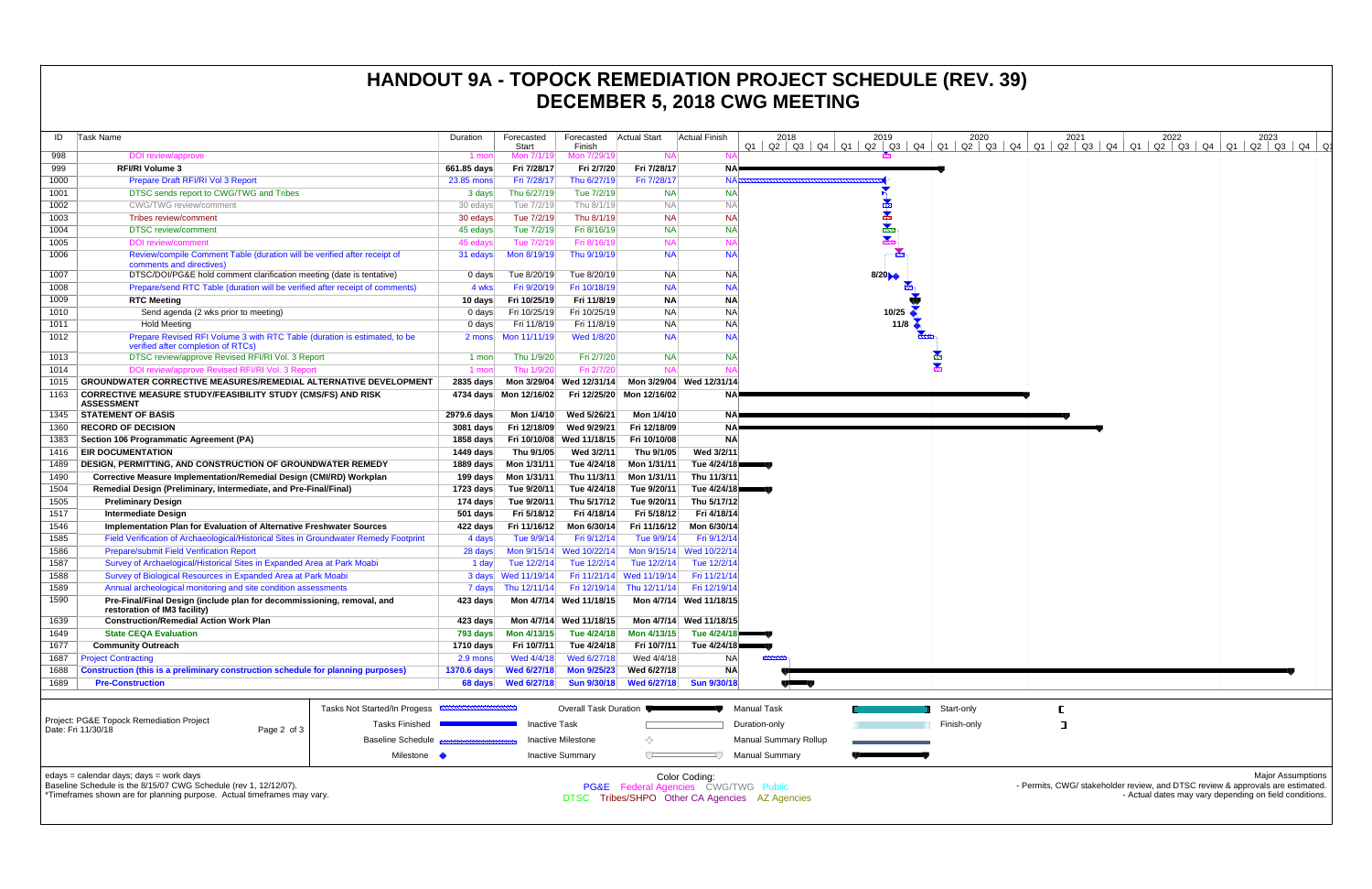| ID                                                                                      | Task Name                                                                                                                                   | Duration           | Forecasted<br>Start         | Forecasted Actual Start<br>Finish |                             | Actual Finish                        | 2018                         | 2019             | 2020        | 2021 | 2022<br>$Q1$   $Q2$   $Q3$   $Q4$   $Q1$   $Q2$   $Q3$   $Q4$   $Q1$   $Q2$   $Q3$   $Q4$   $Q1$   $Q2$   $Q3$   $Q4$   $Q1$   $Q2$   $Q3$   $Q4$   $Q1$   $Q2$   $Q3$   $Q4$   $Q1$ | 2023                     |
|-----------------------------------------------------------------------------------------|---------------------------------------------------------------------------------------------------------------------------------------------|--------------------|-----------------------------|-----------------------------------|-----------------------------|--------------------------------------|------------------------------|------------------|-------------|------|--------------------------------------------------------------------------------------------------------------------------------------------------------------------------------------|--------------------------|
| 998                                                                                     | DOI review/approve                                                                                                                          | 1 mon              | Mon 7/1/19                  | Mon 7/29/19                       | <b>NA</b>                   |                                      |                              |                  |             |      |                                                                                                                                                                                      |                          |
| 999                                                                                     | <b>RFI/RI Volume 3</b>                                                                                                                      | 661.85 days        | Fri 7/28/17                 | Fri 2/7/20                        | Fri 7/28/17                 | NA⊫                                  |                              |                  |             |      |                                                                                                                                                                                      |                          |
| 1000                                                                                    | Prepare Draft RFI/RI Vol 3 Report                                                                                                           | 23.85 mons         | Fri 7/28/17                 | Thu 6/27/19                       | Fri 7/28/17                 | <b>NAF</b>                           |                              |                  |             |      |                                                                                                                                                                                      |                          |
| 1001                                                                                    | DTSC sends report to CWG/TWG and Tribes                                                                                                     | 3 days             | Thu 6/27/19                 | Tue 7/2/19                        | <b>NA</b>                   | <b>NA</b>                            |                              |                  |             |      |                                                                                                                                                                                      |                          |
| 1002                                                                                    | <b>CWG/TWG</b> review/comment                                                                                                               | 30 edays           | Tue 7/2/19                  | Thu 8/1/19                        | <b>NA</b>                   | <b>NA</b>                            |                              |                  |             |      |                                                                                                                                                                                      |                          |
| 1003                                                                                    | Tribes review/comment                                                                                                                       | 30 edays           | Tue 7/2/19                  | Thu 8/1/19                        | <b>NA</b>                   | <b>NA</b>                            |                              |                  |             |      |                                                                                                                                                                                      |                          |
| 1004                                                                                    | <b>DTSC</b> review/comment                                                                                                                  | 45 edays           | Tue 7/2/19                  | Fri 8/16/19                       | <b>NA</b>                   | <b>NA</b>                            |                              |                  |             |      |                                                                                                                                                                                      |                          |
| 1005                                                                                    | <b>DOI</b> review/comment                                                                                                                   | 45 edays           | Tue 7/2/19                  | Fri 8/16/19                       | <b>NA</b>                   | <b>NA</b>                            |                              | ◆                |             |      |                                                                                                                                                                                      |                          |
| 1006                                                                                    | Review/compile Comment Table (duration will be verified after receipt of<br>comments and directives)                                        | 31 edays           | Mon 8/19/19                 | Thu 9/19/19                       | <b>NA</b>                   | <b>NA</b>                            |                              |                  |             |      |                                                                                                                                                                                      |                          |
| 1007                                                                                    | DTSC/DOI/PG&E hold comment clarification meeting (date is tentative)                                                                        | 0 days             | Tue 8/20/19                 | Tue 8/20/19                       | NA.                         | <b>NA</b>                            |                              | 8/20             |             |      |                                                                                                                                                                                      |                          |
| 1008                                                                                    | Prepare/send RTC Table (duration will be verified after receipt of comments)                                                                | 4 wks              | Fri 9/20/19                 | Fri 10/18/19                      | <b>NA</b>                   | <b>NA</b>                            |                              |                  |             |      |                                                                                                                                                                                      |                          |
| 1009                                                                                    | <b>RTC Meeting</b>                                                                                                                          | 10 days            | Fri 10/25/19                | Fri 11/8/19                       | <b>NA</b>                   | <b>NA</b>                            |                              |                  |             |      |                                                                                                                                                                                      |                          |
| 1010                                                                                    | Send agenda (2 wks prior to meeting)                                                                                                        | 0 days             | Fri 10/25/19                | Fri 10/25/19                      | <b>NA</b>                   | <b>NA</b>                            |                              | 10/25            |             |      |                                                                                                                                                                                      |                          |
| 1011                                                                                    | <b>Hold Meeting</b>                                                                                                                         | 0 days             | Fri 11/8/19                 | Fri 11/8/19                       | <b>NA</b>                   | <b>NA</b>                            |                              | 11/8 $\triangle$ |             |      |                                                                                                                                                                                      |                          |
| 1012                                                                                    | Prepare Revised RFI Volume 3 with RTC Table (duration is estimated, to be<br>verified after completion of RTCs)                             | 2 mons             | Mon 11/11/19                | Wed 1/8/20                        | <b>NA</b>                   | <b>NA</b>                            |                              |                  |             |      |                                                                                                                                                                                      |                          |
| 1013                                                                                    | DTSC review/approve Revised RFI/RI Vol. 3 Report                                                                                            | 1 mon              | Thu 1/9/20                  | Fri 2/7/20                        | <b>NA</b>                   | <b>NA</b>                            |                              |                  |             |      |                                                                                                                                                                                      |                          |
| 1014                                                                                    | DOI review/approve Revised RFI/RI Vol. 3 Report                                                                                             | 1 mon              | Thu 1/9/20                  | Fri 2/7/20                        | <b>NA</b>                   | NA                                   |                              |                  |             |      |                                                                                                                                                                                      |                          |
| 1015                                                                                    | GROUNDWATER CORRECTIVE MEASURES/REMEDIAL ALTERNATIVE DEVELOPMENT                                                                            | $2835$ days        |                             | Mon 3/29/04 Wed 12/31/14          |                             | Mon 3/29/04 Wed 12/31/14             |                              |                  |             |      |                                                                                                                                                                                      |                          |
| 1163                                                                                    | <b>CORRECTIVE MEASURE STUDY/FEASIBILITY STUDY (CMS/FS) AND RISK</b>                                                                         |                    | 4734 days Mon 12/16/02      |                                   | Fri 12/25/20 Mon 12/16/02   | NA!                                  |                              |                  |             |      |                                                                                                                                                                                      |                          |
|                                                                                         | <b>ASSESSMENT</b>                                                                                                                           |                    |                             |                                   |                             |                                      |                              |                  |             |      |                                                                                                                                                                                      |                          |
| 1345                                                                                    | <b>STATEMENT OF BASIS</b>                                                                                                                   | 2979.6 days        | Mon 1/4/10                  | Wed 5/26/21                       | Mon 1/4/10                  | NA.                                  |                              |                  |             |      |                                                                                                                                                                                      |                          |
| 1360                                                                                    | <b>RECORD OF DECISION</b>                                                                                                                   | 3081 days          | Fri 12/18/09                | Wed 9/29/21                       | Fri 12/18/09                | <b>NA</b>                            |                              |                  |             |      |                                                                                                                                                                                      |                          |
| 1383                                                                                    | Section 106 Programmatic Agreement (PA)                                                                                                     | 1858 days          | Fri 10/10/08                | Wed 11/18/15                      | Fri 10/10/08                | <b>NA</b>                            |                              |                  |             |      |                                                                                                                                                                                      |                          |
| 1416                                                                                    | <b>EIR DOCUMENTATION</b>                                                                                                                    | 1449 days          | Thu 9/1/05                  | Wed 3/2/11                        | Thu 9/1/05                  | Wed 3/2/11                           |                              |                  |             |      |                                                                                                                                                                                      |                          |
| 1489                                                                                    | <b>DESIGN, PERMITTING, AND CONSTRUCTION OF GROUNDWATER REMEDY</b>                                                                           | 1889 days          | Mon 1/31/11                 | Tue 4/24/18                       | Mon 1/31/11                 | Tue $4/24/18$                        |                              |                  |             |      |                                                                                                                                                                                      |                          |
| 1490                                                                                    | Corrective Measure Implementation/Remedial Design (CMI/RD) Workplan                                                                         | 199 days           | Mon 1/31/11                 | Thu 11/3/11                       | Mon 1/31/11                 | Thu 11/3/11                          |                              |                  |             |      |                                                                                                                                                                                      |                          |
| 1504                                                                                    | Remedial Design (Preliminary, Intermediate, and Pre-Final/Final)                                                                            | 1723 days          | Tue 9/20/11                 | Tue 4/24/18                       | Tue 9/20/11                 | Tue 4/24/18                          |                              |                  |             |      |                                                                                                                                                                                      |                          |
| 1505                                                                                    | <b>Preliminary Design</b>                                                                                                                   | 174 days           | Tue 9/20/11                 | Thu 5/17/12                       | Tue 9/20/11                 | Thu 5/17/12                          |                              |                  |             |      |                                                                                                                                                                                      |                          |
| 1517<br>1546                                                                            | <b>Intermediate Design</b><br>Implementation Plan for Evaluation of Alternative Freshwater Sources                                          | 501 days           | Fri 5/18/12<br>Fri 11/16/12 | Fri 4/18/14<br>Mon 6/30/14        | Fri 5/18/12<br>Fri 11/16/12 | Fri 4/18/14<br>Mon 6/30/14           |                              |                  |             |      |                                                                                                                                                                                      |                          |
| 1585                                                                                    | Field Verification of Archaeological/Historical Sites in Groundwater Remedy Footprint                                                       | 422 days<br>4 days | Tue 9/9/14                  | Fri 9/12/14                       | Tue 9/9/14                  | Fri 9/12/14                          |                              |                  |             |      |                                                                                                                                                                                      |                          |
| 1586                                                                                    | <b>Prepare/submit Field Verification Report</b>                                                                                             | 28 days            | Mon 9/15/14                 | Wed 10/22/14                      |                             | Mon 9/15/14 Wed 10/22/14             |                              |                  |             |      |                                                                                                                                                                                      |                          |
| 1587                                                                                    | Survey of Archaelogical/Historical Sites in Expanded Area at Park Moabi                                                                     | 1 day              | Tue 12/2/14                 | Tue 12/2/14                       | Tue 12/2/14                 | Tue 12/2/14                          |                              |                  |             |      |                                                                                                                                                                                      |                          |
| 1588                                                                                    | Survey of Biological Resources in Expanded Area at Park Moabi                                                                               |                    | 3 days Wed 11/19/14         |                                   | Fri 11/21/14 Wed 11/19/14   | Fri 11/21/14                         |                              |                  |             |      |                                                                                                                                                                                      |                          |
| 1589                                                                                    | Annual archeological monitoring and site condition assessments                                                                              | 7 days             | Thu 12/11/14                |                                   | Fri 12/19/14 Thu 12/11/14   | Fri 12/19/14                         |                              |                  |             |      |                                                                                                                                                                                      |                          |
| 1590                                                                                    | Pre-Final/Final Design (include plan for decommissioning, removal, and                                                                      | 423 days           |                             | Mon 4/7/14 Wed 11/18/15           |                             | Mon 4/7/14 Wed 11/18/15              |                              |                  |             |      |                                                                                                                                                                                      |                          |
|                                                                                         | restoration of IM3 facility)                                                                                                                |                    |                             |                                   |                             |                                      |                              |                  |             |      |                                                                                                                                                                                      |                          |
| 1639                                                                                    | <b>Construction/Remedial Action Work Plan</b>                                                                                               | 423 days           |                             | Mon 4/7/14 Wed 11/18/15           |                             | Mon 4/7/14 Wed 11/18/15              |                              |                  |             |      |                                                                                                                                                                                      |                          |
| 1649                                                                                    | <b>State CEQA Evaluation</b>                                                                                                                | 793 days           | Mon 4/13/15                 | Tue 4/24/18                       | Mon 4/13/15                 | Tue 4/24/1                           |                              |                  |             |      |                                                                                                                                                                                      |                          |
| 1677                                                                                    | <b>Community Outreach</b>                                                                                                                   | 1710 days          | Fri 10/7/11                 | Tue 4/24/18                       | Fri 10/7/11                 | Tue 4/24/18                          |                              |                  |             |      |                                                                                                                                                                                      |                          |
| 1687                                                                                    | <b>Project Contracting</b>                                                                                                                  | 2.9 mons           | Wed 4/4/18                  | Wed 6/27/18                       | Wed 4/4/18                  | NA                                   |                              |                  |             |      |                                                                                                                                                                                      |                          |
| 1688                                                                                    | <b>Construction (this is a preliminary construction schedule for planning purposes)</b>                                                     | <b>1370.6 days</b> | <b>Wed 6/27/18</b>          | <b>Mon 9/25/23</b>                | Wed 6/27/18                 | <b>NA</b>                            |                              |                  |             |      |                                                                                                                                                                                      |                          |
| 1689                                                                                    | <b>Pre-Construction</b>                                                                                                                     | 68 days            | Wed 6/27/18                 | <b>Sun 9/30/18</b>                | <b>Wed 6/27/18</b>          | <b>Sun 9/30/18</b>                   |                              |                  |             |      |                                                                                                                                                                                      |                          |
|                                                                                         |                                                                                                                                             |                    |                             |                                   |                             |                                      |                              |                  |             |      |                                                                                                                                                                                      |                          |
|                                                                                         | Tasks Not Started/In Progess <b>EXAMPLE IN INCORPORTIVE</b>                                                                                 |                    |                             | Overall Task Duration             |                             |                                      | <b>Manual Task</b>           |                  | Start-only  |      |                                                                                                                                                                                      |                          |
| Project: PG&E Topock Remediation Project<br><b>Tasks Finished</b><br>Date: Fri 11/30/18 |                                                                                                                                             |                    | <b>Inactive Task</b>        |                                   |                             |                                      | Duration-only                |                  | Finish-only | ा    |                                                                                                                                                                                      |                          |
|                                                                                         | Page 2 of 3<br><b>Baseline Schedule</b>                                                                                                     |                    |                             | Inactive Milestone                | ◇                           |                                      | <b>Manual Summary Rollup</b> |                  |             |      |                                                                                                                                                                                      |                          |
|                                                                                         | Milestone                                                                                                                                   |                    |                             | <b>Inactive Summary</b>           | $\overline{ }$              |                                      | <b>Manual Summary</b>        |                  |             |      |                                                                                                                                                                                      |                          |
|                                                                                         |                                                                                                                                             |                    |                             |                                   |                             |                                      |                              |                  |             |      |                                                                                                                                                                                      |                          |
|                                                                                         | edays = calendar days; days = work days                                                                                                     |                    |                             |                                   |                             | Color Coding:                        |                              |                  |             |      |                                                                                                                                                                                      | <b>Major Assumptions</b> |
|                                                                                         | Baseline Schedule is the 8/15/07 CWG Schedule (rev 1, 12/12/07).<br>*Timeframes shown are for planning purpose. Actual timeframes may vary. |                    |                             |                                   |                             | PG&E Federal Agencies CWG/TWG Public |                              |                  |             |      | - Permits, CWG/ stakeholder review, and DTSC review & approvals are estimated.<br>- Actual dates may vary depending on field conditions.                                             |                          |
|                                                                                         | DTSC Tribes/SHPO Other CA Agencies AZ Agencies                                                                                              |                    |                             |                                   |                             |                                      |                              |                  |             |      |                                                                                                                                                                                      |                          |

# **HANDOUT 9A - TOPOCK REMEDIATION PROJECT SCHEDULE (REV. 39) DECEMBER 5, 2018 CWG MEETING**